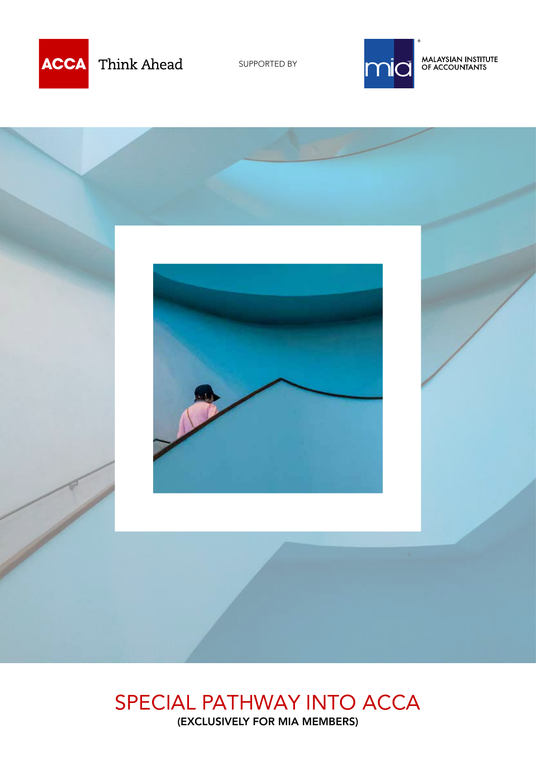

Think Ahead

SUPPORTED BY



MALAYSIAN INSTITUTE<br>OF ACCOUNTANTS



### SPECIAL PATHWAY INTO ACCA (EXCLUSIVELY FOR MIA MEMBERS)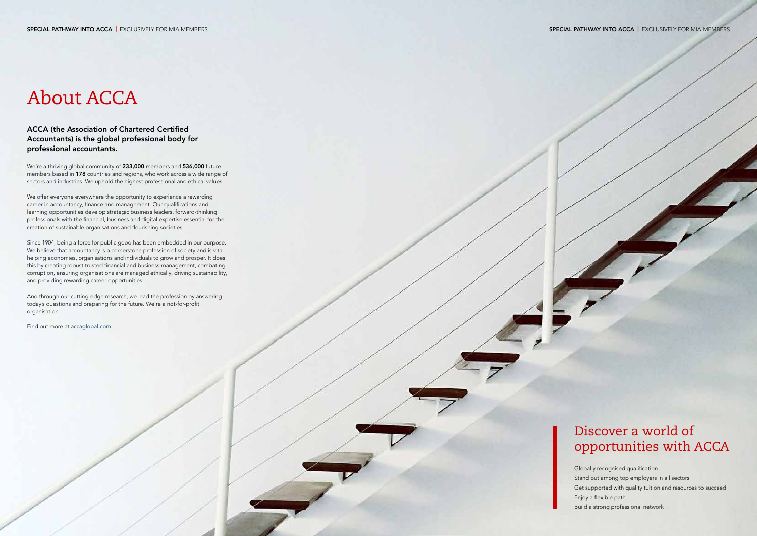# About ACCA

#### ACCA (the Association of Chartered Certified Accountants) is the global professional body for professional accountants.

We're a thriving global community of 233,000 members and 536,000 future members based in 178 countries and regions, who work across a wide range of sectors and industries. We uphold the highest professional and ethical values.

We offer everyone everywhere the opportunity to experience a rewarding career in accountancy, finance and management. Our qualifications and learning opportunities develop strategic business leaders, forward-thinking professionals with the financial, business and digital expertise essential for the creation of sustainable organisations and flourishing societies.

Since 1904, being a force for public good has been embedded in our purpose. We believe that accountancy is a cornerstone profession of society and is vital helping economies, organisations and individuals to grow and prosper. It does this by creating robust trusted financial and business management, combating corruption, ensuring organisations are managed ethically, driving sustainability, and providing rewarding career opportunities.

And through our cutting-edge research, we lead the profession by answering today's questions and preparing for the future. We're a not-for-profit organisation.

Find out more at [accaglobal.com](http://accaglobal.com)

Globally recognised qualification Stand out among top employers in all sectors Get supported with quality tuition and resources to succeed Enjoy a flexible path Build a strong professional network

# Discover a world of opportunities with ACCA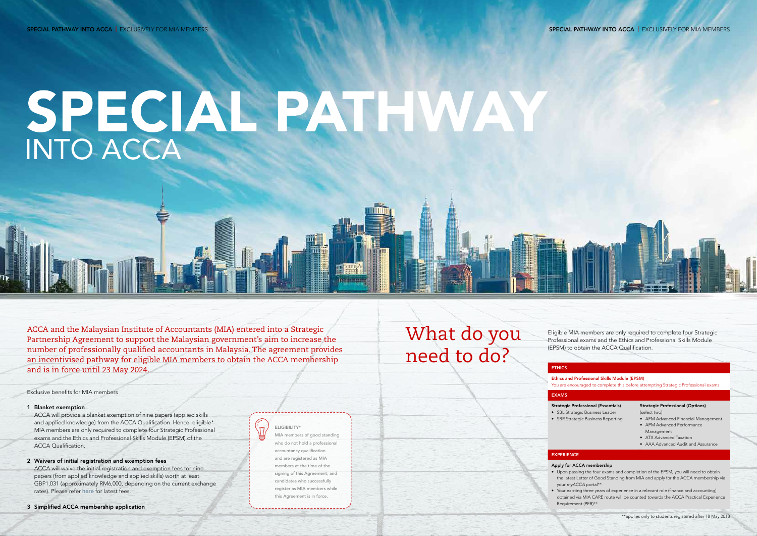# SPECIAL PATHWAY

ACCA and the Malaysian Institute of Accountants (MIA) entered into a Strategic Partnership Agreement to support the Malaysian government's aim to increase the number of professionally qualified accountants in Malaysia. The agreement provides an incentivised pathway for eligible MIA members to obtain the ACCA membership and is in force until 23 May 2024.

Exclusive benefits for MIA members

#### 1 Blanket exemption

ACCA will provide a blanket exemption of nine papers (applied skills and applied knowledge) from the ACCA Qualification. Hence, eligible\* MIA members are only required to complete four Strategic Professional exams and the Ethics and Professional Skills Module (EPSM) of the ACCA Qualification.

- EXAMS
- 
- 
- **EXPERIENCE**
- -

- 2 Waivers of initial registration and exemption fees ACCA will waive the initial registration and exemption fees for nine papers (from applied knowledge and applied skills) worth at least GBP1,031 (approximately RM6,000, depending on the current exchange rates). Please refer [here](https://www.accaglobal.com/gb/en/qualifications/accountancy-career/fees/fees-charges.html?countrycode=Malaysia]) for latest fees.
- 3 Simplified ACCA membership application

What do you need to do?

#### **ETHICS**

#### Ethics and Professional Skills Module (EPSM)

You are encouraged to complete this before attempting Strategic Professional exams.

#### Strategic Professional (Essentials)

• SBL Strategic Business Leader • SBR Strategic Business Reporting

#### Strategic Professional (Options)

(select two)

- AFM Advanced Financial Management • APM Advanced Performance
- Management
- ATX Advanced Taxation
- AAA Advanced Audit and Assurance

#### Apply for ACCA membership

• Upon passing the four exams and completion of the EPSM, you will need to obtain the latest Letter of Good Standing from MIA and apply for the ACCA membership via your *myACCA* portal\*\*

• Your existing three years of experience in a relevant role (finance and accounting) obtained via MIA CARE route will be counted towards the ACCA Practical Experience Requirement (PER)\*\*



ELIGIBILITY\* MIA members of good standing who do not hold a professional accountancy qualification and are registered as MIA members at the time of the signing of this Agreement, and candidates who successfully register as MIA members while

this Agreement is in force.

----------------------